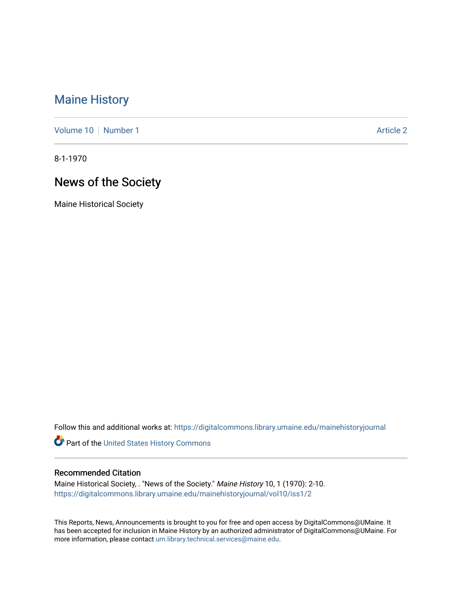# [Maine History](https://digitalcommons.library.umaine.edu/mainehistoryjournal)

[Volume 10](https://digitalcommons.library.umaine.edu/mainehistoryjournal/vol10) [Number 1](https://digitalcommons.library.umaine.edu/mainehistoryjournal/vol10/iss1) Article 2

8-1-1970

# News of the Society

Maine Historical Society

Follow this and additional works at: [https://digitalcommons.library.umaine.edu/mainehistoryjournal](https://digitalcommons.library.umaine.edu/mainehistoryjournal?utm_source=digitalcommons.library.umaine.edu%2Fmainehistoryjournal%2Fvol10%2Fiss1%2F2&utm_medium=PDF&utm_campaign=PDFCoverPages) 

Part of the [United States History Commons](http://network.bepress.com/hgg/discipline/495?utm_source=digitalcommons.library.umaine.edu%2Fmainehistoryjournal%2Fvol10%2Fiss1%2F2&utm_medium=PDF&utm_campaign=PDFCoverPages) 

#### Recommended Citation

Maine Historical Society, . "News of the Society." Maine History 10, 1 (1970): 2-10. [https://digitalcommons.library.umaine.edu/mainehistoryjournal/vol10/iss1/2](https://digitalcommons.library.umaine.edu/mainehistoryjournal/vol10/iss1/2?utm_source=digitalcommons.library.umaine.edu%2Fmainehistoryjournal%2Fvol10%2Fiss1%2F2&utm_medium=PDF&utm_campaign=PDFCoverPages)

This Reports, News, Announcements is brought to you for free and open access by DigitalCommons@UMaine. It has been accepted for inclusion in Maine History by an authorized administrator of DigitalCommons@UMaine. For more information, please contact [um.library.technical.services@maine.edu](mailto:um.library.technical.services@maine.edu).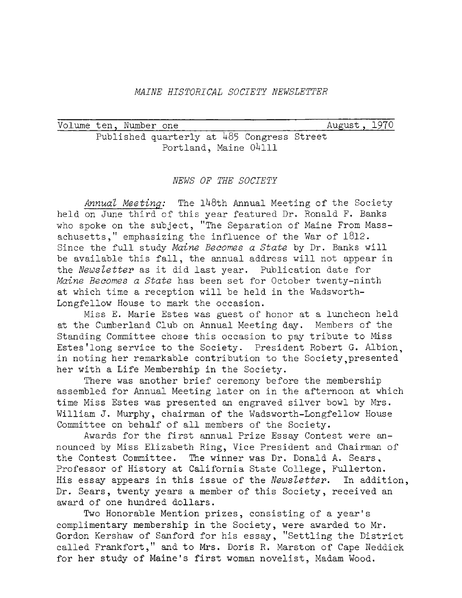# *MAINE HISTORICAL SOCIETY NEWSLETTER*

| Volume ten, Number one |  |                                            |  | August, 1970 |  |
|------------------------|--|--------------------------------------------|--|--------------|--|
|                        |  | Published quarterly at 485 Congress Street |  |              |  |
|                        |  | Portland, Maine 04111                      |  |              |  |

#### *NEWS OF THE SOCIETY*

Annual Meeting: The 148th Annual Meeting of the Society held on June third of this year featured Dr. Ronald F. Banks who spoke on the subject, ''The Separation of Maine From Massachusetts," emphasizing the influence of the War of 1812. Since the full study *Maine Becomes <sup>a</sup> State* by Dr. Banks will be available this fall, the annual address will not appear in the *Newsletter* as it did last year. Publication date for *Maine Becomes a State* has been set for October twenty-ninth at which time <sup>a</sup> reception will be held in the Wadsworth-Longfellow House to mark the occasion.

Miss E. Marie Estes was guest of honor at <sup>a</sup> luncheon held at the Cumberland Club on Annual Meeting day. Members of the Standing Committee chose this occasion to pay tribute to Miss Estes'long service to the Society. President Robert G. Albion, in noting her remarkable contribution to the Society presented her with a Life Membership in the Society.

There was another brief ceremony before the membership assembled for Annual Meeting later on in the afternoon at which time Miss Estes was presented an engraved silver bowl by Mrs. William J. Murphy, chairman of the Wadsworth-Longfellow House Committee on behalf of all members of the Society.

Awards for the first annual Prize Essay Contest were announced by Miss Elizabeth Ring, Vice President and Chairman of the Contest Committee. The winner was Dr. Donald A. Sears, Professor of History at California State College, Fullerton. His essay appears in this issue of the *Newsletter.* In addition, Dr. Sears, twenty years <sup>a</sup> member of this Society, received an award of one hundred dollars.

Two Honorable Mention prizes, consisting of <sup>a</sup> year'<sup>s</sup> complimentary membership in the Society, were awarded to Mr. Gordon Kershaw of Sanford for his essay, ''Settling the District called Frankfort," and to Mrs. Doris R. Marston of Cape Neddick for her study of Maine'<sup>s</sup> first woman novelist, Madam Wood.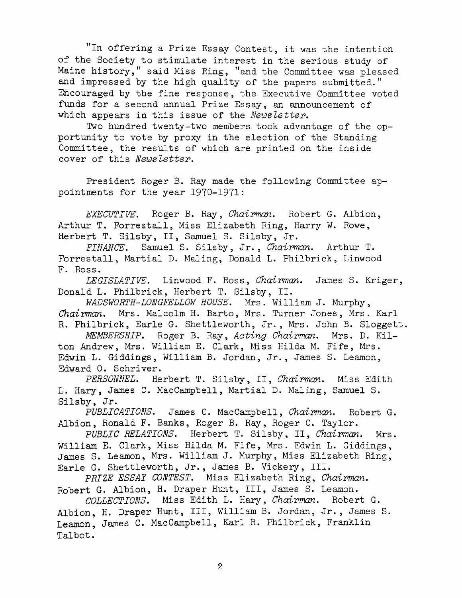"In offering <sup>a</sup> Prize Essay Contest, it was the intention of the Society to stimulate interest in the serious study of Maine history," said Miss Ring, "and the Committee was pleased and impressed by the high quality of the papers submitted." Encouraged by the fine response, the Executive Committee voted funds for <sup>a</sup> second annual Prize Essay, an announcement of which appears in this issue of the *Newsletter.*

Two hundred twenty-two members took advantage of the opportunity to vote by proxy in the election of the Standing Committee, the results of which are printed on the inside cover of this *Newsletter.*

President Roger B. Ray made the following Committee appointments for the year 1970-1971:

*EXECUTIVE.* Roger B. Ray, *Chairman.* Robert G. Albion, Arthur T. Forrestall, Miss Elizabeth Ring, Harry W. Rowe, Herbert T. Silsby, II, Samuel S. Silsby, Jr.

*FINANCE.* Samuel S. Silsby, Jr., *Chairman.* Arthur T. Forrestall, Martial D. Maling, Donald L. Philbrick, Linwood F. Ross.

*LEGISLATIVE.* Linwood F. Ross, *Chairman.* James S. Kriger, Donald L. Philbrick, Herbert T. Silsby, II.

*WADSWORTH-LONGFELLOW HOUSE.* Mrs. William J. Murphy, *Chairman.* Mrs. Malcolm H. Barto, Mrs. Turner Jones, Mrs. Karl R. Philbrick, Earle G. Shettleworth, Jr-, Mrs. John B. Sloggett.

*MEMBERSHIP.* Roger B. Ray, *Acting Chairman.* Mrs. D. Kilton Andrew, Mrs. William E. Clark, Miss Hilda M. Fife, Mrs. Edwin L. Giddings, William B. Jordan, Jr., James S. Leamon, Edward 0. Schriver.

*PERSONNEL.* Herbert T. Silsby, II, *Chairman.* Miss Edith L. Hary, James C. MacCampbell, Martial D. Maling, Samuel S. Silsby, Jr.

*PUBLICATIONS.* James C. MacCampbell, *Chairman.* Robert G. Albion, Ronald F. Banks, Roger B. Ray, Roger C. Taylor.

*PUBLIC RELATIONS.* Herbert T. Silsby, II, *Chairman.* Mrs. William E. Clark, Miss Hilda M. Fife, Mrs. Edwin L. Giddings, James S. Leamon, Mrs. William J. Murphy, Miss Elizabeth Ring, Earle G. Shettleworth, Jr. , James B. Vickery, III.

*PRIZE ESSAY CONTEST.* Miss Elizabeth Ring, *Chairman.* Robert G. Albion, H. Draper Hunt, III, James S. Leamon.

*COLLECTIONS.* Miss Edith L. Hary, *Chairman.* Robert G. Albion, H. Draper Hunt, III, William B. Jordan, Jr. , James S. Leamon, James C. MacCampbell, Karl R. Philbrick, Franklin Talbot.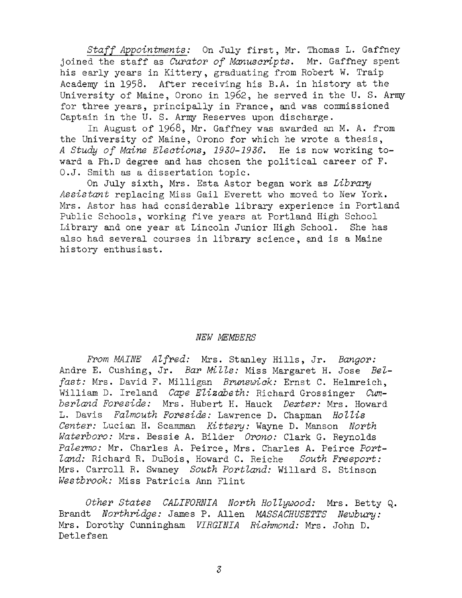*Staff Appointments:* On July first, Mr. Thomas L. Gaffney joined the staff as *Curator of Manuscripts.* Mr. Gaffney spent his early years in Kittery, graduating from Robert W. Traip Academy in 1958. After receiving his B.A. in history at the University of Maine, Orono in 1962, he served in the U. S. Army for three years, principally in France, and was commissioned Captain in the U. S. Army Reserves upon discharge.

In August of 1968, Mr. Gaffney was awarded an M. A. from the University of Maine, Orono for which he wrote <sup>a</sup> thesis, *<sup>A</sup> Study of Maine Elections <sup>&</sup>gt; 1930-1936.* He is now working toward <sup>a</sup> Ph.D degree and has chosen the political career of F. O.J. Smith as a dissertation topic.

On July sixth, Mrs. Esta Astor began work as *Library Assistant* replacing Miss Gail Everett who moved to New York. Mrs. Astor has had considerable library experience in Portland Public Schools, working five years at Portland High School Library and one year at Lincoln Junior High School. She has also had several courses in library science, and is a Maine history enthusiast.

#### *NEW MEMBERS*

*From MAINE Alfred:* Mrs. Stanley Hills, Jr. *Bangor:* Andre E. Cushing, Jr. *Bar Mills:* Miss Margaret H. Jose *Belfast:* Mrs. David F. Milligan *Brunswick:* Ernst C. Helmreich, William D. Ireland *Cape Elizabeth:* Richard Grossinger *Cumberland Foreside:* Mrs. Hubert H. Hauck *Dexter:* Mrs. Howard L. Davis *Falmouth Foreside:* Lawrence D. Chapman *Hollis Center:* Lucian H. Scamman *Kittery:* Wayne D. Manson *North Waterboro:* Mrs. Bessie A. Bilder *Orono:* Clark G. Reynolds *Palermo:* Mr. Charles A. Peirce, Mrs. Charles A. Peirce *Portland:* Richard R. DuBois, Howard C. Reiche *South Freeport:* Mrs. Carroll R. Swaney *South Portland:* Willard S. Stinson *Westbrook:* Miss Patricia Ann Flint

*Other States CALIFORNIA North Hollywood:* Mrs. Betty Q. Brandt *Northridge:* James P. Allen *MASSACHUSETTS Newbury:* Mrs. Dorothy Cunningham *VIRGINIA Richmond:* Mrs. John D. Detlefsen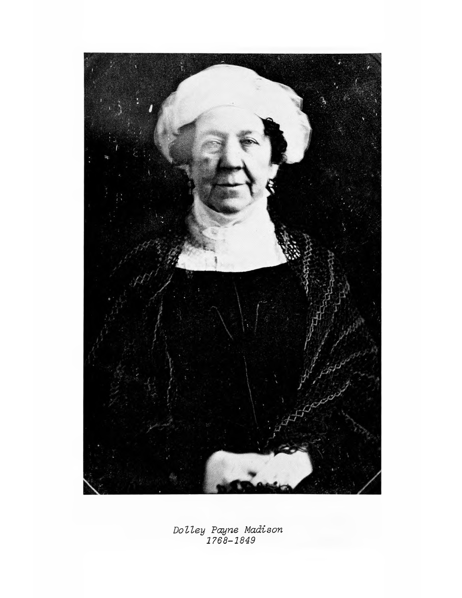

*Dolley Payne Madison 1768-1849*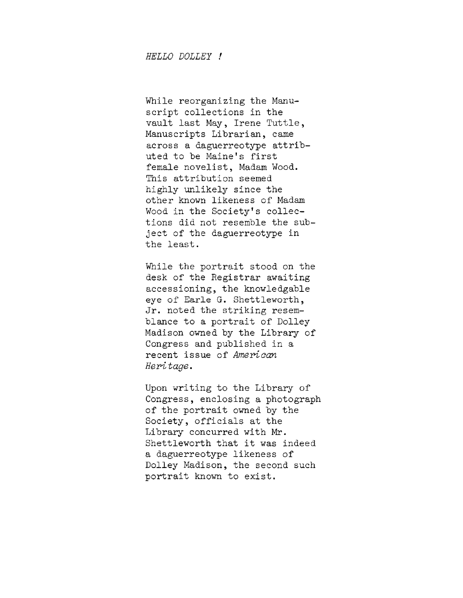While reorganizing the Manuscript collections in the vault last May, Irene Tuttle , Manuscripts Librarian, came across <sup>a</sup> daguerreotype attributed to be Maine'<sup>s</sup> first female novelist, Madam Wood. This attribution seemed highly unlikely since the other known likeness of Madam Wood in the Society'<sup>s</sup> collections did not resemble the subject of the daguerreotype in the least.

While the portrait stood on the desk of the Registrar awaiting accessioning, the knowledgable eye of Earle G. Shettleworth, Jr. noted the striking resemblance to <sup>a</sup> portrait of Dolley Madison owned by the Library of Congress and published in a recent issue of *American Heritage.*

Upon writing to the Library of Congress, enclosing a photograph of the portrait owned by the Society, officials at the Library concurred with Mr. Shettleworth that it was indeed a daguerreotype likeness of Dolley Madison, the second such portrait known to exist.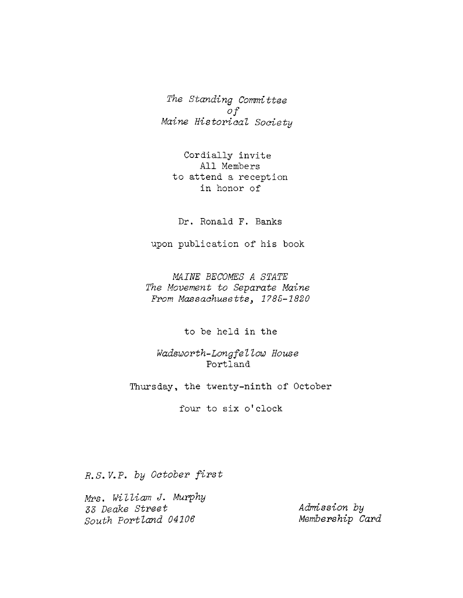*The Standing Committee of Maine Historical Society*

Cordially invite All Members to attend a reception in honor of

Dr. Ronald F. Banks

upon publication of his book

*MAINE BECOMES A STATE The Movement to Separate Maine From Massachusetts1785-1820*

to be held in the

*Wadsworth-Longfellow House* Portland

Thursday, the twenty-ninth of October

four to six <sup>o</sup>'clock

*R.S. V.P. by October first*

*Mrs. William J. Murphy 53 Deake Street South Portland 04106*

*Admission by Membership Card*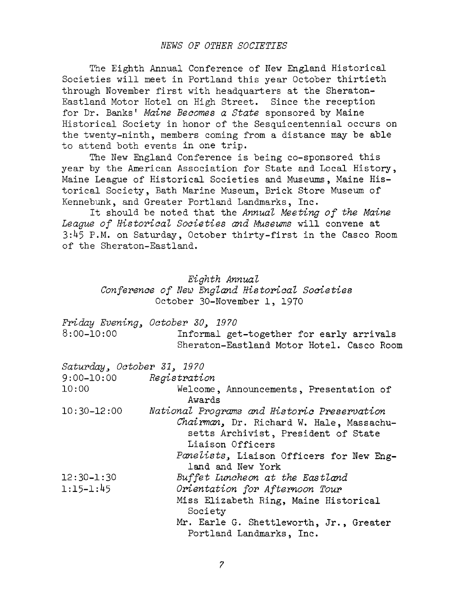# *NEWS OF OTHER SOCIETIES*

The Eighth Annual Conference of New England Historical Societies will meet in Portland this year October thirtieth through November first with headquarters at the Sheraton-Eastland Motor Hotel on High Street. Since the reception for Dr. Banks' *Maine Becomes a State* sponsored by Maine Historical Society in honor of the Sesquicentennial occurs on the twenty-ninth, members coming from a distance may be able to attend both events in one trip.

The New England Conference is being co-sponsored this year by the American Association for State and Local History, Maine League of Historical Societies and Museums, Maine Historical Society, Bath Marine Museum, Brick Store Museum of Kennebunk, and Greater Portland Landmarks, Inc.

It should be noted that the *Annual Meeting of the Maine League of Historical Societies and Museums* will convene at 3:1+5 P.M. on Saturday, October thirty-first in the Casco Room of the Sheraton-Eastland.

| Eighth Annual                                  |  |  |  |  |  |
|------------------------------------------------|--|--|--|--|--|
| Conference of New England Historical Societies |  |  |  |  |  |
| October 30-November 1, 1970                    |  |  |  |  |  |

|                            | Friday Evening, October 30, 1970                                                                                                                                                                                    |
|----------------------------|---------------------------------------------------------------------------------------------------------------------------------------------------------------------------------------------------------------------|
| $8:00 - 10:00$             | Informal get-together for early arrivals                                                                                                                                                                            |
|                            | Sheraton-Eastland Motor Hotel. Casco Room                                                                                                                                                                           |
| Saturday, October 31, 1970 |                                                                                                                                                                                                                     |
| $9:00-10:00$ Registration  |                                                                                                                                                                                                                     |
| 10:00                      | Welcome, Announcements, Presentation of<br>Awards                                                                                                                                                                   |
| $10:30 - 12:00$            | National Programs and Historic Preservation<br>Chairman, Dr. Richard W. Hale, Massachu-<br>setts Archivist, President of State<br>Liaison Officers<br>Panelists, Liaison Officers for New Eng-<br>land and New York |
| $12:30 - 1:30$             | Buffet Luncheon at the Eastland                                                                                                                                                                                     |
| $1:15 - 1:45$              | Orientation for Afternoon Tour                                                                                                                                                                                      |
|                            | Miss Elizabeth Ring, Maine Historical<br>Society                                                                                                                                                                    |
|                            | Mr. Earle G. Shettleworth, Jr., Greater<br>Portland Landmarks, Inc.                                                                                                                                                 |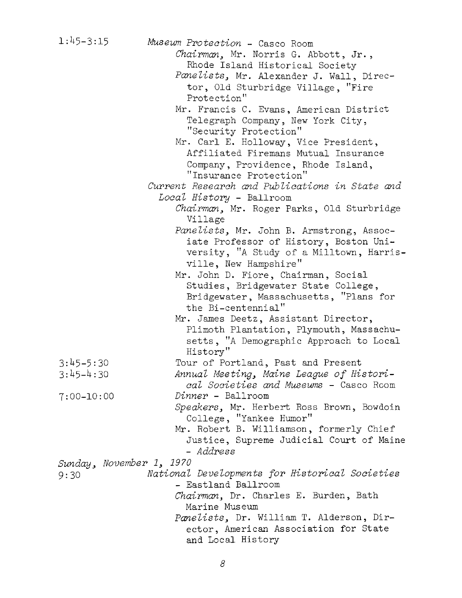| $1:45 - 3:15$            | Museum Protection - Casco Room                 |
|--------------------------|------------------------------------------------|
|                          | Chairman, Mr. Norris G. Abbott, Jr.,           |
|                          | Rhode Island Historical Society                |
|                          | Panelists, Mr. Alexander J. Wall, Direc-       |
|                          | tor, Old Sturbridge Village, "Fire             |
|                          | Protection"                                    |
|                          | Mr. Francis C. Evans, American District        |
|                          | Telegraph Company, New York City,              |
|                          | "Security Protection"                          |
|                          | Mr. Carl E. Holloway, Vice President,          |
|                          | Affiliated Firemans Mutual Insurance           |
|                          | Company, Providence, Rhode Island,             |
|                          | "Insurance Protection"                         |
|                          | Current Research and Publications in State and |
|                          | Local History - Ballroom                       |
|                          |                                                |
|                          | Chairman, Mr. Roger Parks, Old Sturbridge      |
|                          | Village                                        |
|                          | Panelists, Mr. John B. Armstrong, Assoc-       |
|                          | iate Professor of History, Boston Uni-         |
|                          | versity, "A Study of a Milltown, Harris-       |
|                          | ville, New Hampshire"                          |
|                          | Mr. John D. Fiore, Chairman, Social            |
|                          | Studies, Bridgewater State College,            |
|                          | Bridgewater, Massachusetts, "Plans for         |
|                          | the Bi-centennial"                             |
|                          | Mr. James Deetz, Assistant Director,           |
|                          | Plimoth Plantation, Plymouth, Massachu-        |
|                          | setts, "A Demographic Approach to Local        |
|                          | History"                                       |
| $3:45 - 5:30$            | Tour of Portland, Past and Present             |
| $3:45-4:30$              | Annual Meeting, Maine League of Histori-       |
|                          | cal Societies and Museums - Casco Room         |
| $7:00 - 10:00$           | Dinner - Ballroom                              |
|                          | Speakers, Mr. Herbert Ross Brown, Bowdoin      |
|                          | College, "Yankee Humor"                        |
|                          | Mr. Robert B. Williamson, formerly Chief       |
|                          | Justice, Supreme Judicial Court of Maine       |
|                          | - Address                                      |
| Sunday, November 1, 1970 |                                                |
| 9:30                     | National Developments for Historical Societies |
|                          | - Eastland Ballroom                            |
|                          | Chairman, Dr. Charles E. Burden, Bath          |
|                          | Marine Museum                                  |
|                          | Panelists, Dr. William T. Alderson, Dir-       |
|                          | ector, American Association for State          |
|                          | and Local History                              |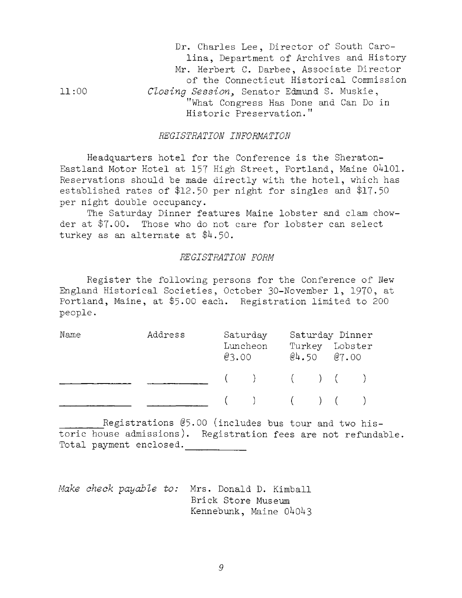|       | Dr. Charles Lee, Director of South Caro-   |
|-------|--------------------------------------------|
|       | lina, Department of Archives and History   |
|       | Mr. Herbert C. Darbee, Associate Director  |
|       | of the Connecticut Historical Commission   |
| 11:00 | Closing Session, Senator Edmund S. Muskie, |
|       | "What Congress Has Done and Can Do in      |
|       | Historic Preservation."                    |

#### *REGISTRATION INFORMATION*

Headquarters hotel for the Conference is the Sheraton-Eastland Motor Hotel at 157 High Street, Portland, Maine 04101. Reservations should be made directly with the hotel, which has established rates of \$12.50 per night for singles and \$17-50 per night double occupancy.

The Saturday Dinner features Maine lobster and clam chowder at \$7-00. Those who do not care for lobster can select turkey as an alternate at \$4.50.

## *REGISTRATION FORM*

Register the following persons for the Conference of New England Historical Societies, October 30-November 1, 1970, at Portland, Maine, at \$5.00 each. Registration limited to 200 people.

| Name | Address | Saturday<br>Luncheon<br>03.00 |                             | $@4.50$ $@7.00$ |  | Saturday Dinner<br>Turkey Lobster |  |
|------|---------|-------------------------------|-----------------------------|-----------------|--|-----------------------------------|--|
|      |         |                               | $(+) \qquad (+) \qquad (+)$ |                 |  |                                   |  |
|      |         |                               | $($ ) $($ ) $($ $)$         |                 |  |                                   |  |

toric house admissions). Registration fees are not refundable. Total payment enclosed. Registrations @5.00 (includes bus tour and two his-

*Make check payable to:* Mrs. Donald D. Kimball Brick Store Museum Kennebunk, Maine 04043